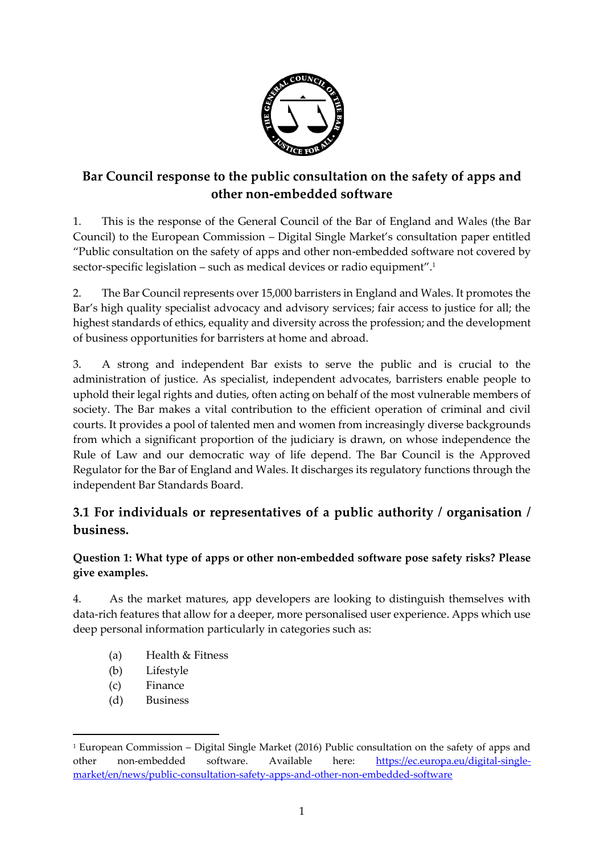

# **Bar Council response to the public consultation on the safety of apps and other non-embedded software**

1. This is the response of the General Council of the Bar of England and Wales (the Bar Council) to the European Commission – Digital Single Market's consultation paper entitled "Public consultation on the safety of apps and other non-embedded software not covered by sector-specific legislation – such as medical devices or radio equipment".<sup>1</sup>

2. The Bar Council represents over 15,000 barristers in England and Wales. It promotes the Bar's high quality specialist advocacy and advisory services; fair access to justice for all; the highest standards of ethics, equality and diversity across the profession; and the development of business opportunities for barristers at home and abroad.

3. A strong and independent Bar exists to serve the public and is crucial to the administration of justice. As specialist, independent advocates, barristers enable people to uphold their legal rights and duties, often acting on behalf of the most vulnerable members of society. The Bar makes a vital contribution to the efficient operation of criminal and civil courts. It provides a pool of talented men and women from increasingly diverse backgrounds from which a significant proportion of the judiciary is drawn, on whose independence the Rule of Law and our democratic way of life depend. The Bar Council is the Approved Regulator for the Bar of England and Wales. It discharges its regulatory functions through the independent Bar Standards Board.

## **3.1 For individuals or representatives of a public authority / organisation / business.**

## **Question 1: What type of apps or other non-embedded software pose safety risks? Please give examples.**

4. As the market matures, app developers are looking to distinguish themselves with data-rich features that allow for a deeper, more personalised user experience. Apps which use deep personal information particularly in categories such as:

- (a) Health & Fitness
- (b) Lifestyle
- (c) Finance

 $\overline{a}$ 

(d) Business

<sup>1</sup> European Commission – Digital Single Market (2016) Public consultation on the safety of apps and other non-embedded software. Available here: [https://ec.europa.eu/digital-single](https://ec.europa.eu/digital-single-market/en/news/public-consultation-safety-apps-and-other-non-embedded-software)[market/en/news/public-consultation-safety-apps-and-other-non-embedded-software](https://ec.europa.eu/digital-single-market/en/news/public-consultation-safety-apps-and-other-non-embedded-software)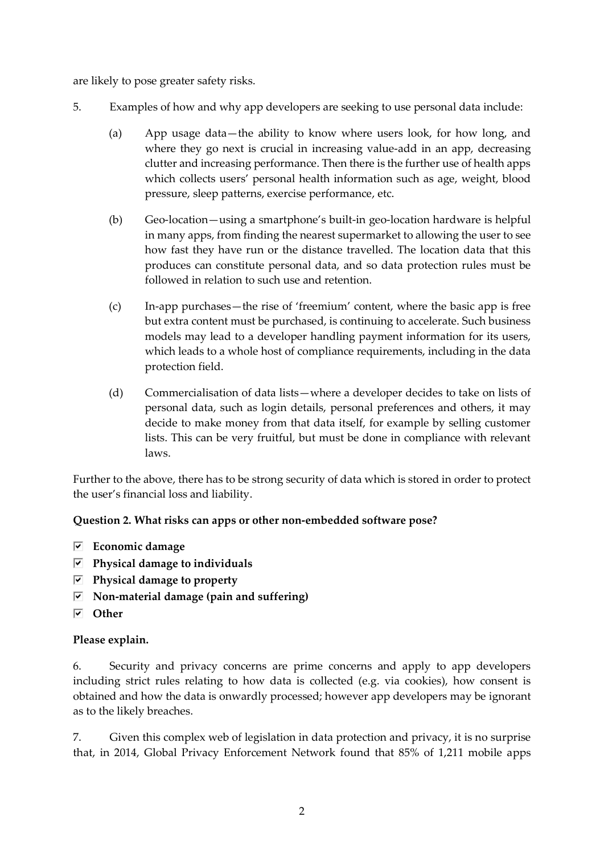are likely to pose greater safety risks.

- 5. Examples of how and why app developers are seeking to use personal data include:
	- (a) App usage data—the ability to know where users look, for how long, and where they go next is crucial in increasing value-add in an app, decreasing clutter and increasing performance. Then there is the further use of health apps which collects users' personal health information such as age, weight, blood pressure, sleep patterns, exercise performance, etc.
	- (b) Geo-location—using a smartphone's built-in geo-location hardware is helpful in many apps, from finding the nearest supermarket to allowing the user to see how fast they have run or the distance travelled. The location data that this produces can constitute personal data, and so data protection rules must be followed in relation to such use and retention.
	- (c) In-app purchases—the rise of 'freemium' content, where the basic app is free but extra content must be purchased, is continuing to accelerate. Such business models may lead to a developer handling payment information for its users, which leads to a whole host of compliance requirements, including in the data protection field.
	- (d) Commercialisation of data lists—where a developer decides to take on lists of personal data, such as login details, personal preferences and others, it may decide to make money from that data itself, for example by selling customer lists. This can be very fruitful, but must be done in compliance with relevant laws.

Further to the above, there has to be strong security of data which is stored in order to protect the user's financial loss and liability.

## **Question 2. What risks can apps or other non-embedded software pose?**

- **Economic damage**
- **Physical damage to individuals**
- **Physical damage to property**
- **Non-material damage (pain and suffering)**
- **Other**

## **Please explain.**

6. Security and privacy concerns are prime concerns and apply to app developers including strict rules relating to how data is collected (e.g. via cookies), how consent is obtained and how the data is onwardly processed; however app developers may be ignorant as to the likely breaches.

7. Given this complex web of legislation in data protection and privacy, it is no surprise that, in 2014, Global Privacy Enforcement Network found that 85% of 1,211 mobile apps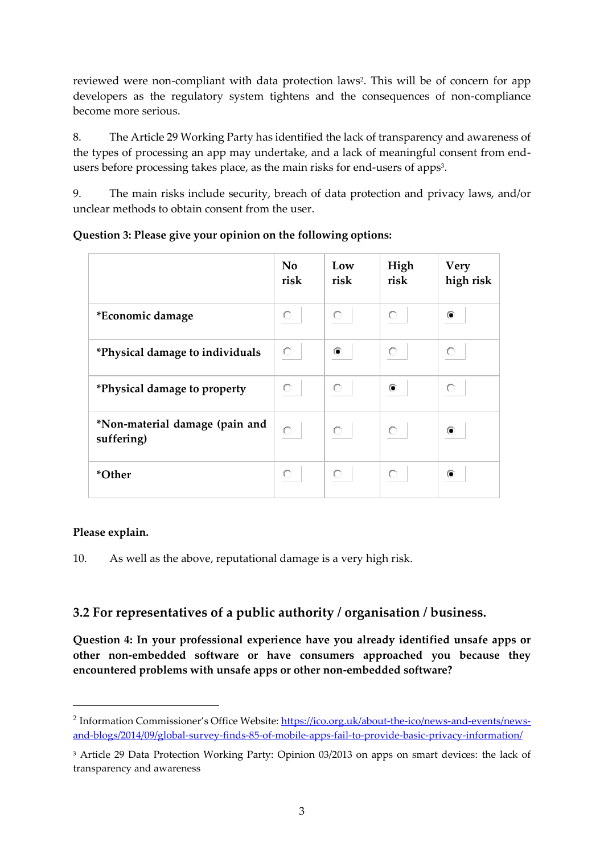reviewed were non-compliant with data protection laws<sup>2</sup>. This will be of concern for app developers as the regulatory system tightens and the consequences of non-compliance become more serious.

8. The Article 29 Working Party has identified the lack of transparency and awareness of the types of processing an app may undertake, and a lack of meaningful consent from endusers before processing takes place, as the main risks for end-users of apps<sup>3</sup>.

9. The main risks include security, breach of data protection and privacy laws, and/or unclear methods to obtain consent from the user.

|                                              | No<br>risk | Low<br>risk | High<br>risk | <b>Very</b><br>high risk |
|----------------------------------------------|------------|-------------|--------------|--------------------------|
| *Economic damage                             | O          | O           | O            | ⋒                        |
| *Physical damage to individuals              | $\circ$    | ⋒           | O            | О                        |
| *Physical damage to property                 | $\circ$    | О           | O            | O                        |
| *Non-material damage (pain and<br>suffering) | $\circ$    | $\circ$     | О            | ⋒                        |
| *Other                                       | O          |             | О            | ⋒                        |

## **Question 3: Please give your opinion on the following options:**

## **Please explain.**

1

10. As well as the above, reputational damage is a very high risk.

## **3.2 For representatives of a public authority / organisation / business.**

**Question 4: In your professional experience have you already identified unsafe apps or other non-embedded software or have consumers approached you because they encountered problems with unsafe apps or other non-embedded software?**

<sup>&</sup>lt;sup>2</sup> Information Commissioner's Office Website: <u>https://ico.org.uk/about-the-ico/news-and-events/news-</u> [and-blogs/2014/09/global-survey-finds-85-of-mobile-apps-fail-to-provide-basic-privacy-information/](https://ico.org.uk/about-the-ico/news-and-events/news-and-blogs/2014/09/global-survey-finds-85-of-mobile-apps-fail-to-provide-basic-privacy-information/)

<sup>3</sup> Article 29 Data Protection Working Party: Opinion 03/2013 on apps on smart devices: the lack of transparency and awareness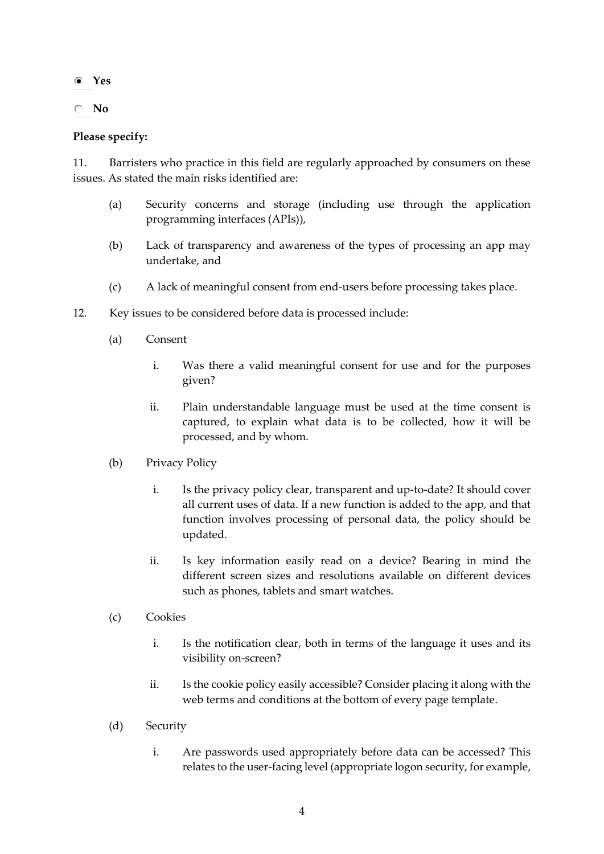- **Yes**
- **No**

### **Please specify:**

11. Barristers who practice in this field are regularly approached by consumers on these issues. As stated the main risks identified are:

- (a) Security concerns and storage (including use through the application programming interfaces (APIs)),
- (b) Lack of transparency and awareness of the types of processing an app may undertake, and
- (c) A lack of meaningful consent from end-users before processing takes place.
- 12. Key issues to be considered before data is processed include:
	- (a) Consent
		- i. Was there a valid meaningful consent for use and for the purposes given?
		- ii. Plain understandable language must be used at the time consent is captured, to explain what data is to be collected, how it will be processed, and by whom.
	- (b) Privacy Policy
		- i. Is the privacy policy clear, transparent and up-to-date? It should cover all current uses of data. If a new function is added to the app, and that function involves processing of personal data, the policy should be updated.
		- ii. Is key information easily read on a device? Bearing in mind the different screen sizes and resolutions available on different devices such as phones, tablets and smart watches.
	- (c) Cookies
		- i. Is the notification clear, both in terms of the language it uses and its visibility on-screen?
		- ii. Is the cookie policy easily accessible? Consider placing it along with the web terms and conditions at the bottom of every page template.
	- (d) Security
		- i. Are passwords used appropriately before data can be accessed? This relates to the user-facing level (appropriate logon security, for example,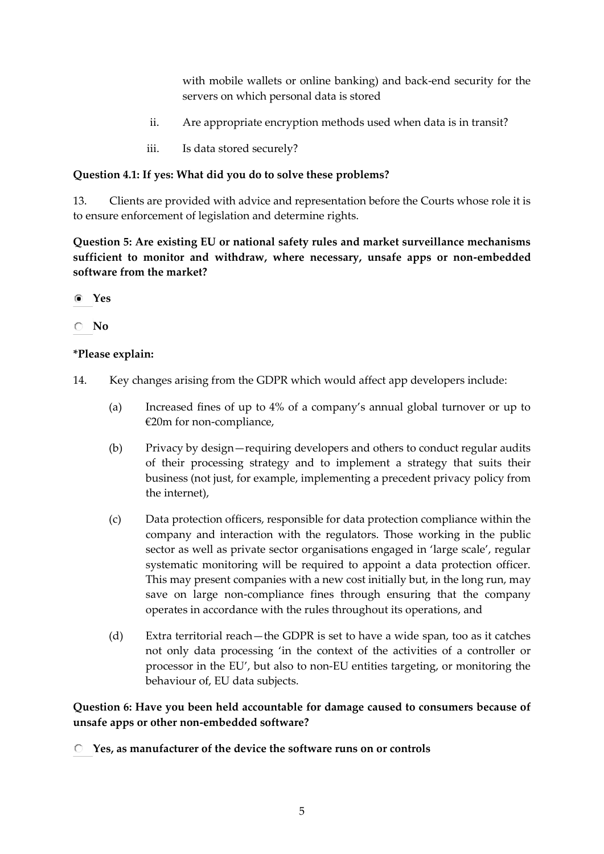with mobile wallets or online banking) and back-end security for the servers on which personal data is stored

- ii. Are appropriate encryption methods used when data is in transit?
- iii. Is data stored securely?

### **Question 4.1: If yes: What did you do to solve these problems?**

13. Clients are provided with advice and representation before the Courts whose role it is to ensure enforcement of legislation and determine rights.

**Question 5: Are existing EU or national safety rules and market surveillance mechanisms sufficient to monitor and withdraw, where necessary, unsafe apps or non-embedded software from the market?**

- **Yes**
- **No**

### **\*Please explain:**

- 14. Key changes arising from the GDPR which would affect app developers include:
	- (a) Increased fines of up to 4% of a company's annual global turnover or up to €20m for non-compliance,
	- (b) Privacy by design—requiring developers and others to conduct regular audits of their processing strategy and to implement a strategy that suits their business (not just, for example, implementing a precedent privacy policy from the internet),
	- (c) Data protection officers, responsible for data protection compliance within the company and interaction with the regulators. Those working in the public sector as well as private sector organisations engaged in 'large scale', regular systematic monitoring will be required to appoint a data protection officer. This may present companies with a new cost initially but, in the long run, may save on large non-compliance fines through ensuring that the company operates in accordance with the rules throughout its operations, and
	- (d) Extra territorial reach—the GDPR is set to have a wide span, too as it catches not only data processing 'in the context of the activities of a controller or processor in the EU', but also to non-EU entities targeting, or monitoring the behaviour of, EU data subjects.

## **Question 6: Have you been held accountable for damage caused to consumers because of unsafe apps or other non-embedded software?**

**Yes, as manufacturer of the device the software runs on or controls**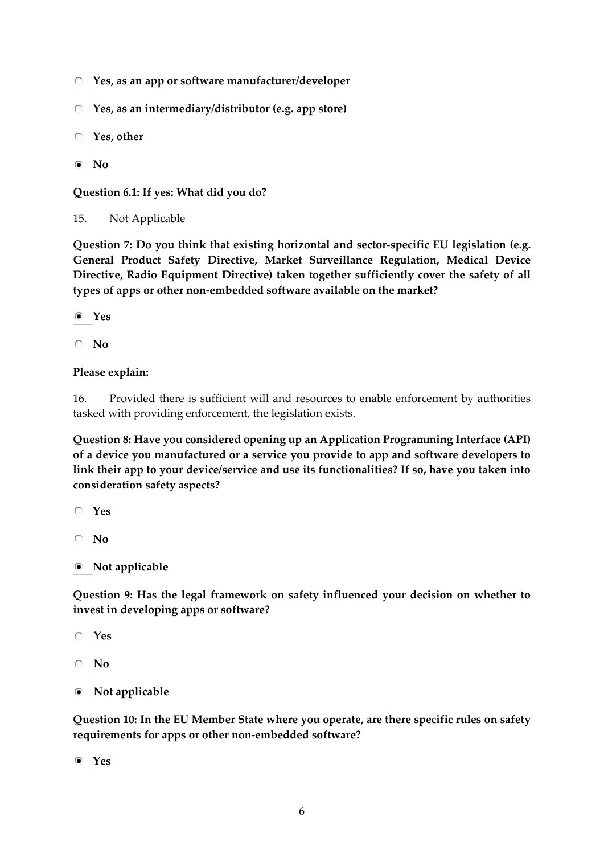- **Yes, as an app or software manufacturer/developer**
- **Yes, as an intermediary/distributor (e.g. app store)**
- **Yes, other**
- **No**

**Question 6.1: If yes: What did you do?**

15. Not Applicable

**Question 7: Do you think that existing horizontal and sector-specific EU legislation (e.g. General Product Safety Directive, Market Surveillance Regulation, Medical Device Directive, Radio Equipment Directive) taken together sufficiently cover the safety of all types of apps or other non-embedded software available on the market?**

**Yes**

**No**

### **Please explain:**

16. Provided there is sufficient will and resources to enable enforcement by authorities tasked with providing enforcement, the legislation exists.

**Question 8: Have you considered opening up an Application Programming Interface (API) of a device you manufactured or a service you provide to app and software developers to link their app to your device/service and use its functionalities? If so, have you taken into consideration safety aspects?**

**Yes**

**No**

**Not applicable**

**Question 9: Has the legal framework on safety influenced your decision on whether to invest in developing apps or software?**

**Yes**

- **No**
- **Not applicable**  $\circ$

**Question 10: In the EU Member State where you operate, are there specific rules on safety requirements for apps or other non-embedded software?**

**Yes**